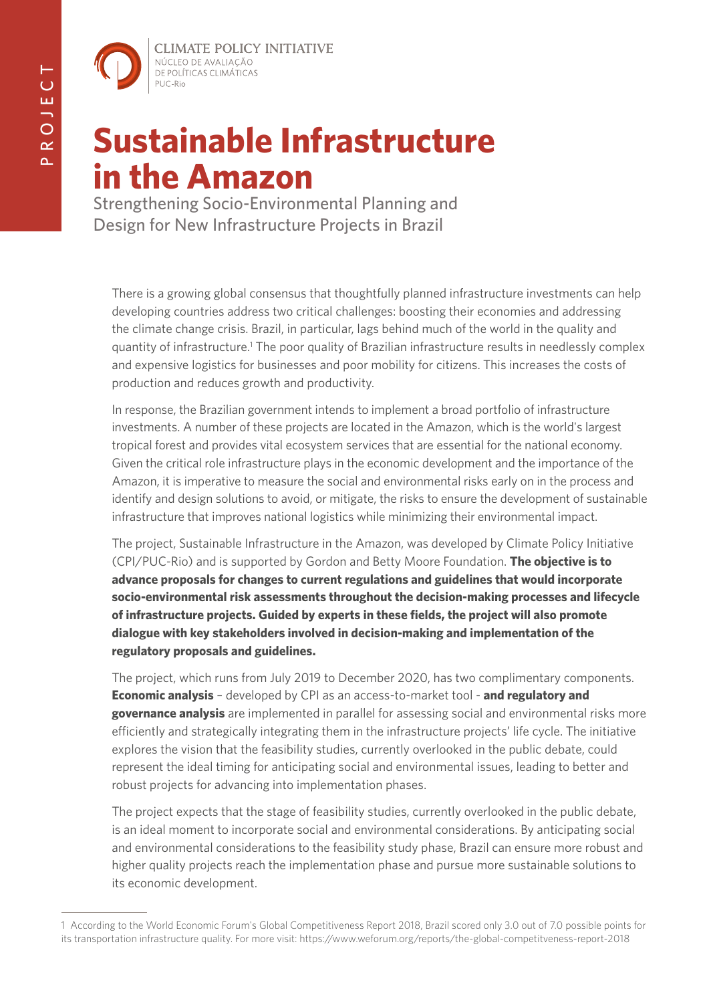**CLIMATE POLICY INITIATIVE** NÚCLEO DE AVALIAÇÃO DE POLÍTICAS CLIMÁTICAS PUC-Rio

# **Sustainable Infrastructure in the Amazon**

Strengthening Socio-Environmental Planning and Design for New Infrastructure Projects in Brazil

There is a growing global consensus that thoughtfully planned infrastructure investments can help developing countries address two critical challenges: boosting their economies and addressing the climate change crisis. Brazil, in particular, lags behind much of the world in the quality and quantity of infrastructure.<sup>1</sup> The poor quality of Brazilian infrastructure results in needlessly complex and expensive logistics for businesses and poor mobility for citizens. This increases the costs of production and reduces growth and productivity.

In response, the Brazilian government intends to implement a broad portfolio of infrastructure investments. A number of these projects are located in the Amazon, which is the world's largest tropical forest and provides vital ecosystem services that are essential for the national economy. Given the critical role infrastructure plays in the economic development and the importance of the Amazon, it is imperative to measure the social and environmental risks early on in the process and identify and design solutions to avoid, or mitigate, the risks to ensure the development of sustainable infrastructure that improves national logistics while minimizing their environmental impact.

The project, Sustainable Infrastructure in the Amazon, was developed by Climate Policy Initiative (CPI/PUC-Rio) and is supported by Gordon and Betty Moore Foundation. **The objective is to advance proposals for changes to current regulations and guidelines that would incorporate socio-environmental risk assessments throughout the decision-making processes and lifecycle of infrastructure projects. Guided by experts in these fields, the project will also promote dialogue with key stakeholders involved in decision-making and implementation of the regulatory proposals and guidelines.**

The project, which runs from July 2019 to December 2020, has two complimentary components. **Economic analysis** – developed by CPI as an access-to-market tool - **and regulatory and governance analysis** are implemented in parallel for assessing social and environmental risks more efficiently and strategically integrating them in the infrastructure projects' life cycle. The initiative explores the vision that the feasibility studies, currently overlooked in the public debate, could represent the ideal timing for anticipating social and environmental issues, leading to better and robust projects for advancing into implementation phases.

The project expects that the stage of feasibility studies, currently overlooked in the public debate, is an ideal moment to incorporate social and environmental considerations. By anticipating social and environmental considerations to the feasibility study phase, Brazil can ensure more robust and higher quality projects reach the implementation phase and pursue more sustainable solutions to its economic development.

<sup>1</sup> According to the World Economic Forum's Global Competitiveness Report 2018, Brazil scored only 3.0 out of 7.0 possible points for its transportation infrastructure quality. For more visit: <https://www.weforum.org/reports/the-global-competitveness-report-2018>